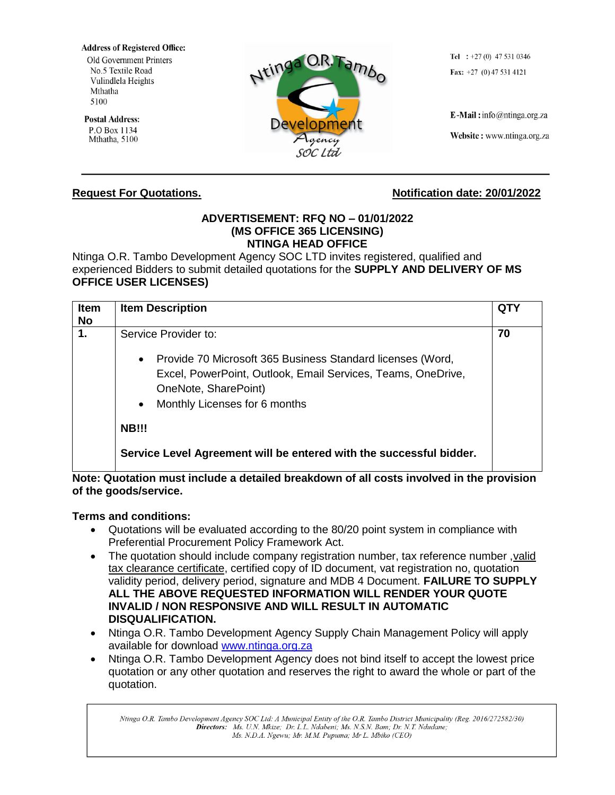**Address of Registered Office:** Old Government Printers No.5 Textile Road Vulindlela Heights Mthatha 5100

**Postal Address:** P.O Box 1134 Mthatha, 5100



Tel :  $+27(0)$  47 531 0346 Fax:  $+27$  (0) 47 531 4121

E-Mail: info@ntinga.org.za

Website: www.ntinga.org.za

## **ADVERTISEMENT: RFQ NO – 01/01/2022 (MS OFFICE 365 LICENSING) NTINGA HEAD OFFICE**

Ntinga O.R. Tambo Development Agency SOC LTD invites registered, qualified and experienced Bidders to submit detailed quotations for the **SUPPLY AND DELIVERY OF MS OFFICE USER LICENSES)**

| Item<br><b>No</b> | <b>Item Description</b>                                                                                                                                                                                                               | QTY |
|-------------------|---------------------------------------------------------------------------------------------------------------------------------------------------------------------------------------------------------------------------------------|-----|
| 1.                | Service Provider to:<br>Provide 70 Microsoft 365 Business Standard licenses (Word,<br>$\bullet$<br>Excel, PowerPoint, Outlook, Email Services, Teams, OneDrive,<br>OneNote, SharePoint)<br>Monthly Licenses for 6 months<br>$\bullet$ | 70  |
|                   | <b>NB!!!</b>                                                                                                                                                                                                                          |     |
|                   | Service Level Agreement will be entered with the successful bidder.                                                                                                                                                                   |     |

**Note: Quotation must include a detailed breakdown of all costs involved in the provision of the goods/service.**

## **Terms and conditions:**

- Quotations will be evaluated according to the 80/20 point system in compliance with Preferential Procurement Policy Framework Act.
- The quotation should include company registration number, tax reference number ,valid tax clearance certificate, certified copy of ID document, vat registration no, quotation validity period, delivery period, signature and MDB 4 Document. **FAILURE TO SUPPLY ALL THE ABOVE REQUESTED INFORMATION WILL RENDER YOUR QUOTE INVALID / NON RESPONSIVE AND WILL RESULT IN AUTOMATIC DISQUALIFICATION.**
- Ntinga O.R. Tambo Development Agency Supply Chain Management Policy will apply available for download [www.ntinga.org.za](http://www.ntinga.org.za/)
- Ntinga O.R. Tambo Development Agency does not bind itself to accept the lowest price quotation or any other quotation and reserves the right to award the whole or part of the quotation.

Ntinga O.R. Tambo Development Agency SOC Ltd: A Municipal Entity of the O.R. Tambo District Municipality (Reg. 2016/272582/30) Directors: Ms. U.N. Mkize; Dr. L.L. Ndabeni; Ms. N.S.N. Bam; Dr. N.T. Ndudane; Ms. N.D.A. Ngewu; Mr. M.M. Pupuma; Mr L. Mbiko (CEO)

## **Request For Quotations.** Notification date: 20/01/2022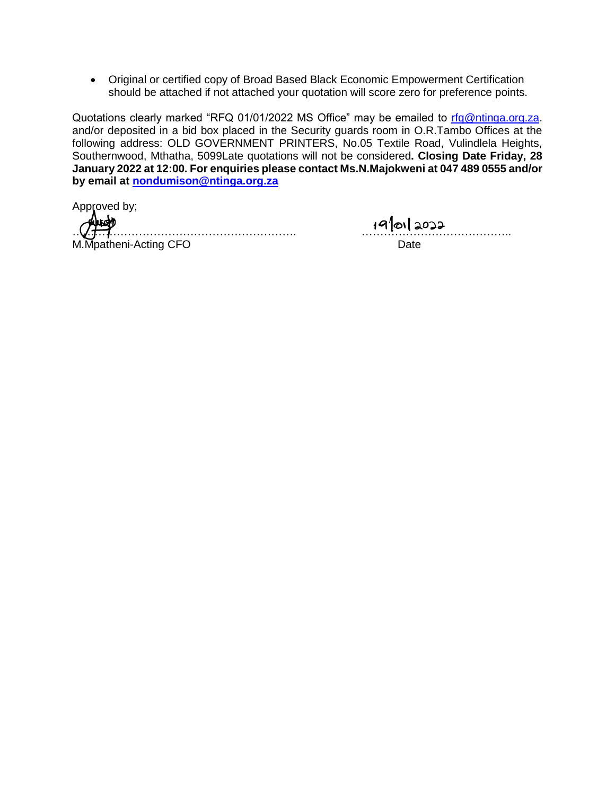• Original or certified copy of Broad Based Black Economic Empowerment Certification should be attached if not attached your quotation will score zero for preference points.

Quotations clearly marked "RFQ 01/01/2022 MS Office" may be emailed to [rfq@ntinga.org.za.](mailto:rfq@ntinga.org.za) and/or deposited in a bid box placed in the Security guards room in O.R.Tambo Offices at the following address: OLD GOVERNMENT PRINTERS, No.05 Textile Road, Vulindlela Heights, Southernwood, Mthatha, 5099Late quotations will not be considered**. Closing Date Friday, 28 January 2022 at 12:00. For enquiries please contact Ms.N.Majokweni at 047 489 0555 and/or by email at [nondumison@ntinga.org.za](mailto:nondumison@ntinga.org.za)**

Approved by;

……………………………………………………. ………………………………….. M.Mpatheni-Acting CFO **Date** Date